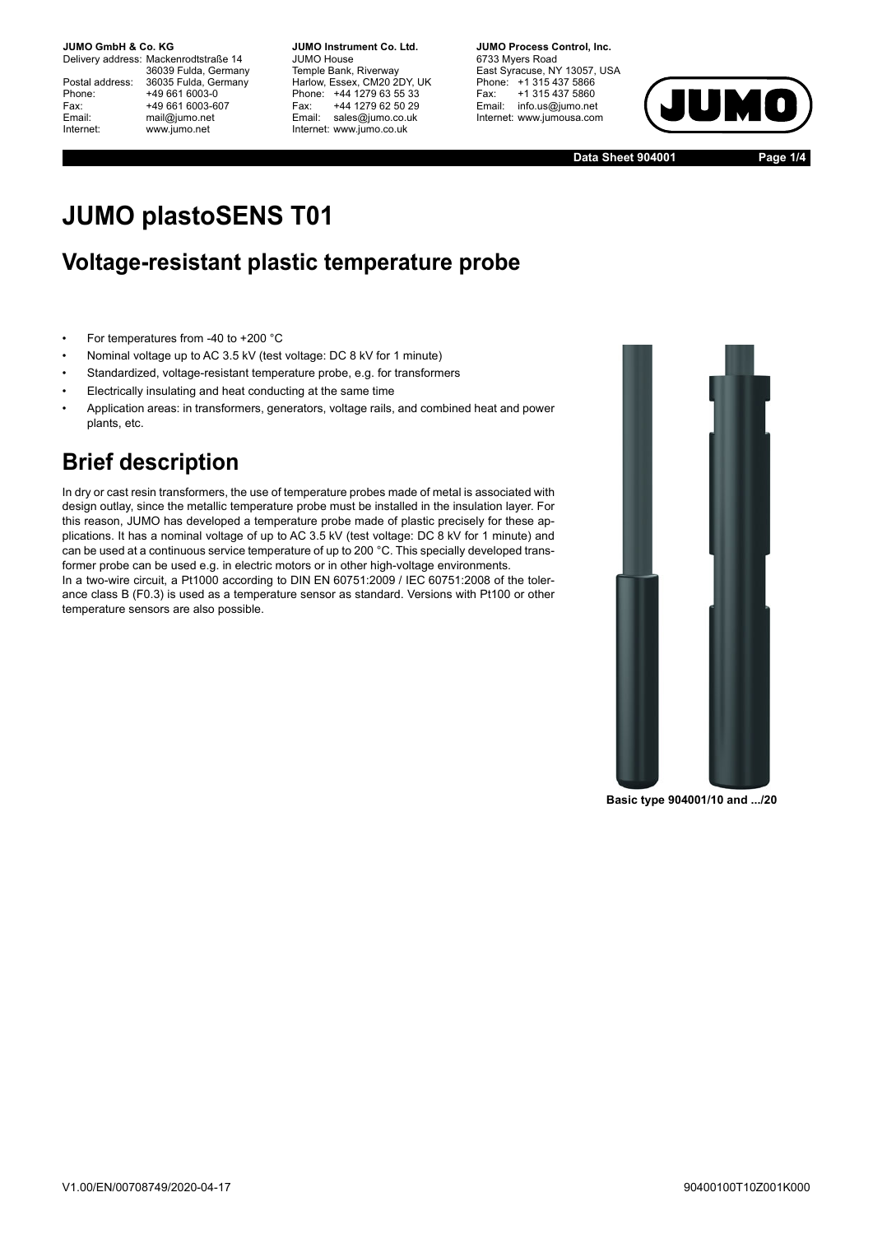**JUMO GmbH & Co. KG.** 

Delivery address: Mackenrodtstraße 14 36039 Fulda, Germany Postal address: 36035 Fulda, Germany<br>Phone: +49 661 6003-0 Phone: +49 661 6003-0<br>Fax: +49 661 6003-6 Fax: +49 661 6003-607<br>
Fmail: mail@iumo.net mail@jumo.net Internet: www.jumo.net

**-BUMO Instrument Co. Ltd.** JUMO House Temple Bank, Riverway Harlow, Essex, CM20 2DY, UK Phone: +44 1279 63 55 33<br>Fax: +44 1279 62 50 29 +44 1279 62 50 29 Email: sales@jumo.co.uk Internet: www.jumo.co.uk

**-BURG Process Control Inc.** 6733 Myers Road East Syracuse, NY 13057, USA Phone: +1 315 437 5866<br>Fax: +1 315 437 5860 +1 315 437 5860 Email: info.us@jumo.net Internet: www.jumousa.com



**Data Sheet 904001 Page 1/4**

# **JUMO plastoSENS T01**

#### **Voltage-resistant plastic temperature probe**

- For temperatures from -40 to +200 °C
- Nominal voltage up to AC 3.5 kV (test voltage: DC 8 kV for 1 minute)
- Standardized, voltage-resistant temperature probe, e.g. for transformers
- Electrically insulating and heat conducting at the same time
- Application areas: in transformers, generators, voltage rails, and combined heat and power plants, etc.

### **Brief description**

In dry or cast resin transformers, the use of temperature probes made of metal is associated with design outlay, since the metallic temperature probe must be installed in the insulation layer. For this reason, JUMO has developed a temperature probe made of plastic precisely for these applications. It has a nominal voltage of up to AC 3.5 kV (test voltage: DC 8 kV for 1 minute) and can be used at a continuous service temperature of up to 200 °C. This specially developed transformer probe can be used e.g. in electric motors or in other high-voltage environments. In a two-wire circuit, a Pt1000 according to DIN EN 60751:2009 / IEC 60751:2008 of the tolerance class B (F0.3) is used as a temperature sensor as standard. Versions with Pt100 or other temperature sensors are also possible.



**Basic type 904001/10 and .../20**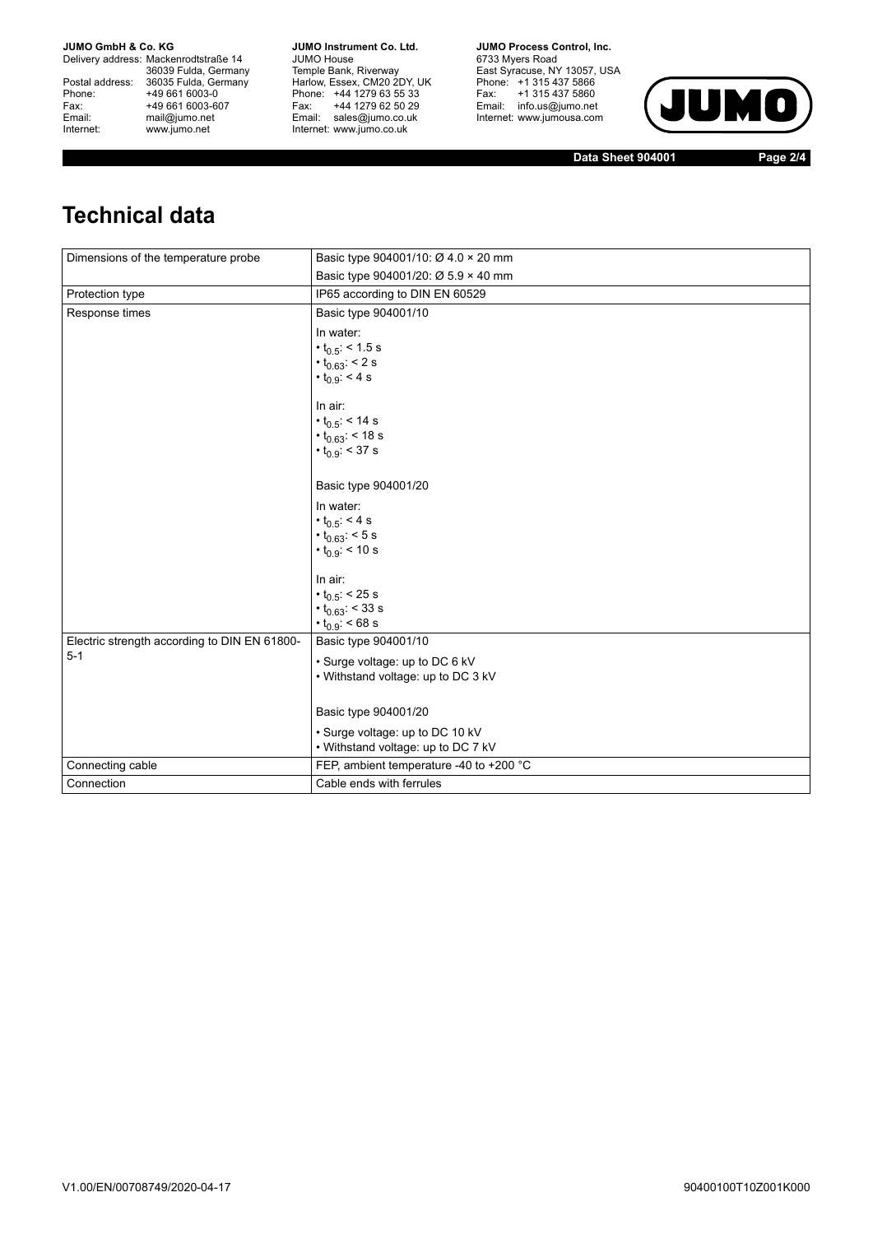**JUMO GmbH & Co. KG** 

Delivery address: Mackenrodtstraße 14 36039 Fulda, Germany<br>Postal address: 36035 Fulda, Germany Phone: +49 661 6003-0<br>
Fax: +49 661 6003-6<br>
Email: mail@jumo.net +49 661 6003-607 Email: mail@jumo.net<br>Internet: www.iumo.net www.jumo.net

**JUMO Instrument Co. Ltd.** JUMO House Temple Bank, Riverway<br>Harlow, Essex, CM20 2DY, UK Phone: +44 1279 63 55 33 Fax: +44 1279 62 50 29<br>Email: sales@jumo.co.uk Internet: www.jumo.co.uk

**JUMO Process Control. Inc.** 6733 Myers Road East Syracuse, NY 13057, USA<br>Phone: +1 315 437 5866<br>Fax: +1 315 437 5860 Email: info.us@jumo.net Internet: www.jumousa.com



**Data Sheet 904001 Page 2/4**

# **Technical data**

| Dimensions of the temperature probe          | Basic type 904001/10: Ø 4.0 × 20 mm     |
|----------------------------------------------|-----------------------------------------|
|                                              | Basic type 904001/20: Ø 5.9 × 40 mm     |
| Protection type                              | IP65 according to DIN EN 60529          |
| Response times                               | Basic type 904001/10                    |
|                                              | In water:                               |
|                                              | $\cdot t_{0.5}$ < 1.5 s                 |
|                                              | • $t_{0.63}$ : < 2 s                    |
|                                              | $\cdot t_{0.9}$ : < 4 s                 |
|                                              | In air:                                 |
|                                              | $\cdot$ t <sub>0.5</sub> : < 14 s       |
|                                              | $\cdot t_{0.63}$ : < 18 s               |
|                                              | $\cdot t_{0.9}$ : < 37 s                |
|                                              |                                         |
|                                              | Basic type 904001/20                    |
|                                              | In water:                               |
|                                              | $\cdot t_{0.5}$ : < 4 s                 |
|                                              | $\cdot t_{0.63}$ : < 5 s                |
|                                              | $\cdot t_{0.9}$ : < 10 s                |
|                                              | In air:                                 |
|                                              | $\cdot$ t <sub>0.5</sub> : < 25 s       |
|                                              | $\cdot t_{0.63}$ : < 33 s               |
|                                              | $\cdot t_{0.9}$ : < 68 s                |
| Electric strength according to DIN EN 61800- | Basic type 904001/10                    |
| $5 - 1$                                      | • Surge voltage: up to DC 6 kV          |
|                                              | • Withstand voltage: up to DC 3 kV      |
|                                              |                                         |
|                                              | Basic type 904001/20                    |
|                                              | • Surge voltage: up to DC 10 kV         |
|                                              | • Withstand voltage: up to DC 7 kV      |
| Connecting cable                             | FEP, ambient temperature -40 to +200 °C |
| Connection                                   | Cable ends with ferrules                |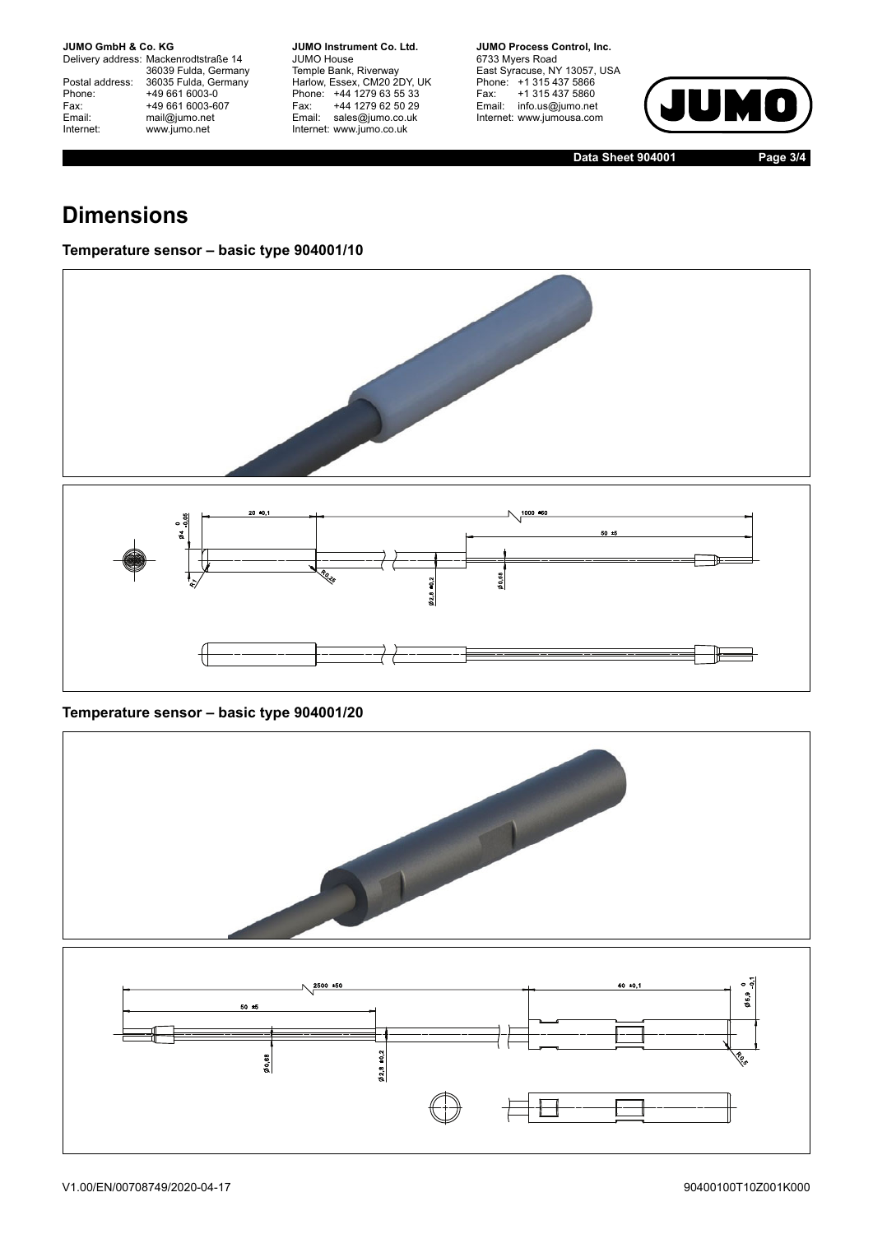**JUMO GmbH & Co. KG** 

Delivery address: Mackenrodtstraße 14 36039 Fulda, Germany<br>Postal address: 36035 Fulda, Germany Phone: +49 661 6003-0<br>
Fax: +49 661 6003-6<br>
Email: mail@jumo.net +49 661 6003-607 Email: mail@jumo.net<br>Internet: www.iumo.net www.jumo.net

**JUMO Instrument Co. Ltd.** JUMO House Temple Bank, Riverway<br>Harlow, Essex, CM20 2DY, UK Phone: +44 1279 63 55 33<br>Fax: +44 1279 62 50 29 +44 1279 62 50 29 Email: sales@jumo.co.uk Internet: www.jumo.co.uk

**JUMO Process Control, Inc.** 6733 Myers Road East Syracuse, NY 13057, USA<br>Phone: +1 315 437 5866<br>Fax: +1 315 437 5860 Email: info.us@jumo.net Internet: www.jumousa.com



**Data Sheet 904001 Page 3/4**

## **Dimensions**

#### **Temperature sensor – basic type 904001/10**



#### **Temperature sensor – basic type 904001/20**